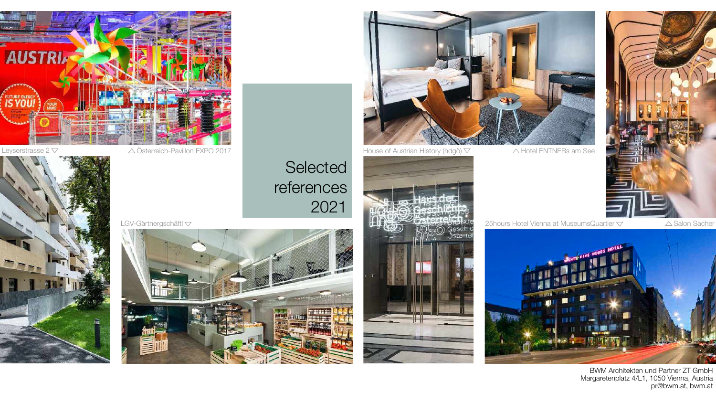

BWM Architekten und Partner ZT GmbH Margaretenplatz 4/L1, 1050 Vienna, Austria



## **Selected** references 2021



### LGV-Gärtnergschäftl





Leyserstrasse 2  $\nabla$   $\triangle$  Österreich-Pavillon EXPO 2017 House of Austrian History (hdgö)  $\nabla$   $\triangle$  Hotel ENTNERs am See







25hours Hotel Vienna at MuseumsQuartier  $\bigtriangledown$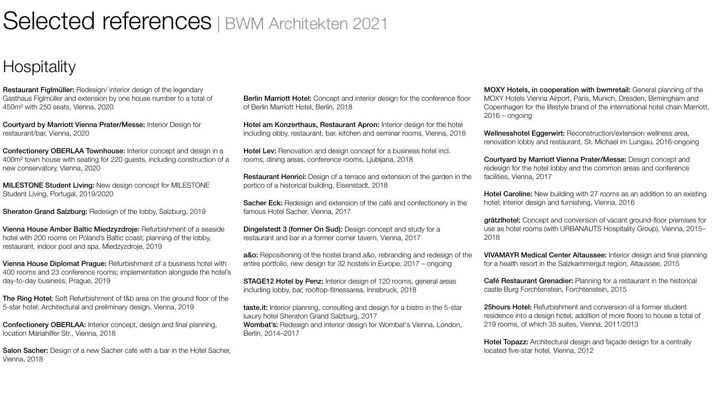## Selected references | BWM Architekten 2021

### **Hospitality**

Restaurant Figlmüller: Redesign/ interior design of the legendary Gasthaus Figlmüller and extension by one house number to a total of 450m² with 250 seats, Vienna, 2020

Courtyard by Marriott Vienna Prater/Messe: Interior Design for restaurant/bar, Vienna, 2020

Confectionery OBERLAA Townhouse: Interior concept and design in a 400m² town house with seating for 220 guests, including construction of a new conservatory, Vienna, 2020

MILESTONE Student Living: New design concept for MILESTONE Student Living, Portugal, 2019/2020

Sheraton Grand Salzburg: Redesign of the lobby, Salzburg, 2019

The Ring Hotel: Soft Refurbishment of f&b area on the ground floor of the 5-star hotel; Architectural and preliminary design, Vienna, 2019

Salon Sacher: Design of a new Sacher café with a bar in the Hotel Sacher, Vienna, 2018

Vienna House Amber Baltic Miedzyzdroje: Refurbishment of a seaside hotel with 200 rooms on Poland's Baltic coast; planning of the lobby, restaurant, indoor pool and spa, Miedzyzdroje, 2019

Hotel am Konzerthaus, Restaurant Apron: Interior design for the hotel including obby, restaurant, bar, kitchen and seminar rooms, Vienna, 2018

Hotel Lev: Renovation and design concept for a business hotel incl. rooms, dining areas, conference rooms, Ljubljana, 2018

Vienna House Diplomat Prague: Refurbishment of a business hotel with 400 rooms and 23 conference rooms; implementation alongside the hotel's day-to-day business, Prague, 2019

Sacher Eck: Redesign and extension of the café and confectionery in the famous Hotel Sacher, Vienna, 2017

a&o: Repositioning of the hostel brand a&o, rebranding and redesign of the entire portfolio, new design for 32 hostels in Europe, 2017 – ongoing

Confectionery OBERLAA: Interior concept, design and final planning, location Mariahilfer Str., Vienna, 2018

taste.it: Interior planning, consulting and design for a bistro in the 5-star luxury hotel Sheraton Grand Salzburg, 2017 Wombat's: Redesign and interior design for Wombat's Vienna, London, Berlin, 2014–2017

Berlin Marriott Hotel: Concept and interior design for the conference floor of Berlin Marriott Hotel, Berlin, 2018

> Wellnesshotel Eggerwirt: Reconstruction/extension wellness area, renovation lobby and restaurant, St. Michael im Lungau, 2016-ongoing

Hotel Caroline: New building with 27 rooms as an addition to an existing hotel; interior design and furnishing, Vienna, 2016

Restaurant Henrici: Design of a terrace and extension of the garden in the portico of a historical building, Eisenstadt, 2018

> 25hours Hotel: Refurbishment and conversion of a former student residence into a design hotel, addition of more floors to house a total of 219 rooms, of which 35 suites, Vienna, 2011/2013

Hotel Topazz: Architectural design and façade design for a centrally located five-star hotel, Vienna, 2012



Dingelstedt 3 (former On Sud): Design concept and study for a restaurant and bar in a former corner tavern, Vienna, 2017

STAGE12 Hotel by Penz: Interior design of 120 rooms, general areas including lobby, bar, rooftop-fitnessarea, Innsbruck, 2018

MOXY Hotels, in cooperation with bwmretail: General planning of the MOXY Hotels Vienna Airport, Paris, Munich, Dresden, Birmingham and Copenhagen for the lifestyle brand of the international hotel chain Marriott, 2016 – ongoing

Courtyard by Marriott Vienna Prater/Messe: Design concept and redesign for the hotel lobby and the common areas and conference facilities, Vienna, 2017

grätzlhotel: Concept and conversion of vacant ground-floor premises for use as hotel rooms (with URBANAUTS Hospitality Group), Vienna, 2015– 2018

VIVAMAYR Medical Center Altaussee: Interior design and final planning for a health resort in the Salzkammergut region, Altaussee, 2015

Café Restaurant Grenadier: Planning for a restaurant in the historical castle Burg Forchtenstein, Forchtenstein, 2015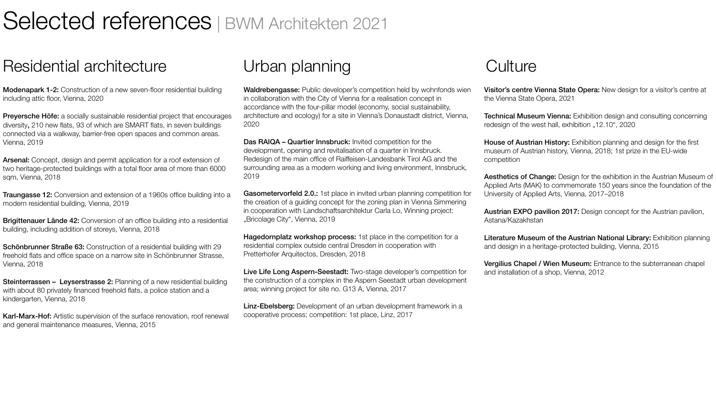# Selected references | BWM Architekten 2021

### Residential architecture Urban planning Culture

Modenapark 1-2: Construction of a new seven-floor residential building including attic floor, Vienna, 2020

Preyersche Höfe: a socially sustainable residential project that encourages diversity, 210 new flats, 93 of which are SMART flats, in seven buildings connected via a walkway, barrier-free open spaces and common areas. Vienna, 2019

**Traungasse 12:** Conversion and extension of a 1960s office building into a modern residential building, Vienna, 2019

Brigittenauer Lände 42: Conversion of an office building into a residential building, including addition of storeys, Vienna, 2018

Arsenal: Concept, design and permit application for a roof extension of two heritage-protected buildings with a total floor area of more than 6000 sqm, Vienna, 2018

Steinterrassen - Leyserstrasse 2: Planning of a new residential building with about 80 privately financed freehold flats, a police station and a kindergarten, Vienna, 2018

Karl-Marx-Hof: Artistic supervision of the surface renovation, roof renewal and general maintenance measures, Vienna, 2015

Waldrebengasse: Public developer's competition held by wohnfonds wien in collaboration with the City of Vienna for a realisation concept in accordance with the four-pillar model (economy, social sustainability, architecture and ecology) for a site in Vienna's Donaustadt district, Vienna, 2020

Schönbrunner Straße 63: Construction of a residential building with 29 freehold flats and office space on a narrow site in Schönbrunner Strasse, Vienna, 2018

**Visitor's centre Vienna State Opera:** New design for a visitor's centre at the Vienna State Opera, 2021

Technical Museum Vienna: Exhibition design and consulting concerning redesign of the west hall, exhibition "12.10", 2020

Das RAIQA – Quartier Innsbruck: Invited competition for the development, opening and revitalisation of a quarter in Innsbruck. Redesign of the main office of Raiffeisen-Landesbank Tirol AG and the surrounding area as a modern working and living environment, Innsbruck, 2019

Gasometervorfeld 2.0.: 1st place in invited urban planning competition for the creation of a guiding concept for the zoning plan in Vienna Simmering in cooperation with Landschaftsarchitektur Carla Lo, Winning project: "Bricolage City", Vienna, 2019

Hagedornplatz workshop process: 1st place in the competition for a residential complex outside central Dresden in cooperation with Pretterhofer Arquitectos, Dresden, 2018

Live Life Long Aspern-Seestadt: Two-stage developer's competition for the construction of a complex in the Aspern Seestadt urban development area; winning project for site no. G13 A, Vienna, 2017

Linz-Ebelsberg: Development of an urban development framework in a cooperative process; competition: 1st place, Linz, 2017

House of Austrian History: Exhibition planning and design for the first museum of Austrian history, Vienna, 2018; 1st prize in the EU-wide competition

Aesthetics of Change: Design for the exhibition in the Austrian Museum of Applied Arts (MAK) to commemorate 150 years since the foundation of the University of Applied Arts, Vienna, 2017–2018

Austrian EXPO pavilion 2017: Design concept for the Austrian pavilion, Astana/Kazakhstan

Literature Museum of the Austrian National Library: Exhibition planning and design in a heritage-protected building, Vienna, 2015

Vergilius Chapel / Wien Museum: Entrance to the subterranean chapel and installation of a shop, Vienna, 2012